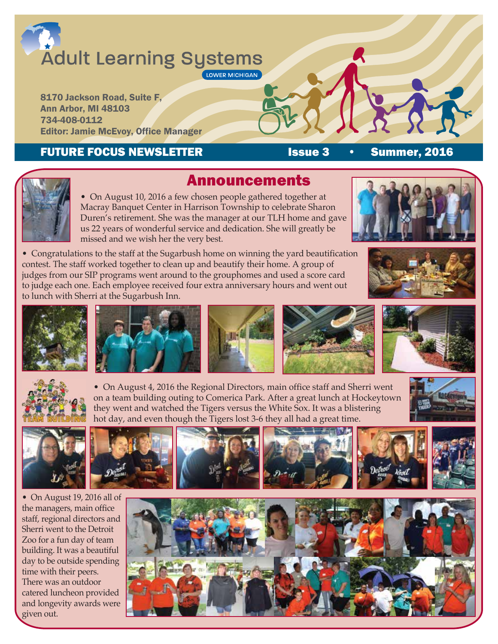# **Adult Learning Systems** LOWER MICHIGAN

8170 Jackson Road, Suite F, Ann Arbor, MI 48103 734-408-0112 Editor: Jamie McEvoy, Office Manager

### FUTURE FOCUS NEWSLETTER **ISSUE 3** • Summer, 2016

 • On August 10, 2016 a few chosen people gathered together at Macray Banquet Center in Harrison Township to celebrate Sharon Duren's retirement. She was the manager at our TLH home and gave us 22 years of wonderful service and dedication. She will greatly be missed and we wish her the very best.

• Congratulations to the staff at the Sugarbush home on winning the yard beautification contest. The staff worked together to clean up and beautify their home. A group of judges from our SIP programs went around to the grouphomes and used a score card to judge each one. Each employee received four extra anniversary hours and went out to lunch with Sherri at the Sugarbush Inn.







• On August 4, 2016 the Regional Directors, main office staff and Sherri went on a team building outing to Comerica Park. After a great lunch at Hockeytown they went and watched the Tigers versus the White Sox. It was a blistering hot day, and even though the Tigers lost 3-6 they all had a great time.





• On August 19, 2016 all of the managers, main office staff, regional directors and Sherri went to the Detroit Zoo for a fun day of team building. It was a beautiful day to be outside spending time with their peers. There was an outdoor catered luncheon provided and longevity awards were given out.







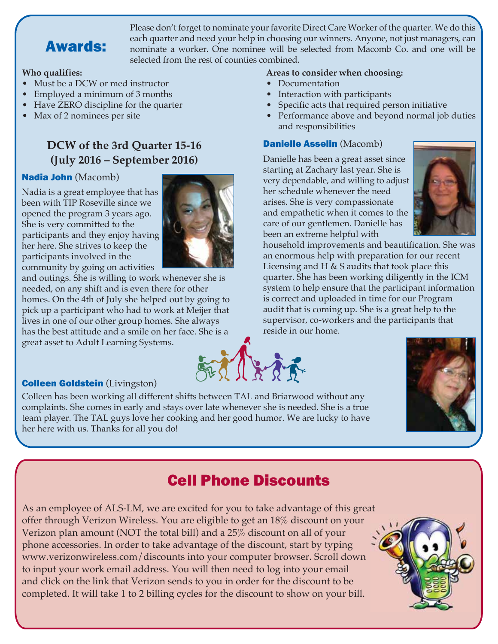

Please don't forget to nominate your favorite Direct Care Worker of the quarter. We do this each quarter and need your help in choosing our winners. Anyone, not just managers, can nominate a worker. One nominee will be selected from Macomb Co. and one will be selected from the rest of counties combined.

#### **Who qualifies:**

- Must be a DCW or med instructor
- Employed a minimum of 3 months
- Have ZERO discipline for the quarter
- Max of 2 nominees per site

### **DCW of the 3rd Quarter 15-16 (July 2016 – September 2016)**

### Nadia John (Macomb)

Nadia is a great employee that has been with TIP Roseville since we opened the program 3 years ago. She is very committed to the participants and they enjoy having her here. She strives to keep the participants involved in the



#### **Areas to consider when choosing:**

- Documentation
- Interaction with participants
- Specific acts that required person initiative
- Performance above and beyond normal job duties and responsibilities

#### Danielle Asselin (Macomb)

Danielle has been a great asset since starting at Zachary last year. She is very dependable, and willing to adjust her schedule whenever the need arises. She is very compassionate and empathetic when it comes to the care of our gentlemen. Danielle has been an extreme helpful with



household improvements and beautification. She was an enormous help with preparation for our recent Licensing and H & S audits that took place this quarter. She has been working diligently in the ICM system to help ensure that the participant information is correct and uploaded in time for our Program audit that is coming up. She is a great help to the supervisor, co-workers and the participants that reside in our home.



### Colleen Goldstein (Livingston)

Colleen has been working all different shifts between TAL and Briarwood without any complaints. She comes in early and stays over late whenever she is needed. She is a true team player. The TAL guys love her cooking and her good humor. We are lucky to have her here with us. Thanks for all you do!



# Cell Phone Discounts

As an employee of ALS-LM, we are excited for you to take advantage of this great offer through Verizon Wireless. You are eligible to get an 18% discount on your Verizon plan amount (NOT the total bill) and a 25% discount on all of your phone accessories. In order to take advantage of the discount, start by typing www.verizonwireless.com/discounts into your computer browser. Scroll down to input your work email address. You will then need to log into your email and click on the link that Verizon sends to you in order for the discount to be completed. It will take 1 to 2 billing cycles for the discount to show on your bill.

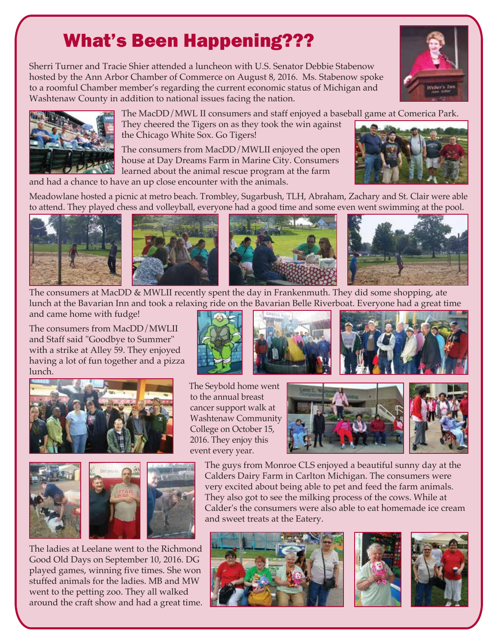# What's Been Happening???

Sherri Turner and Tracie Shier attended a luncheon with U.S. Senator Debbie Stabenow hosted by the Ann Arbor Chamber of Commerce on August 8, 2016. Ms. Stabenow spoke to a roomful Chamber member's regarding the current economic status of Michigan and Washtenaw County in addition to national issues facing the nation.



 The MacDD/MWL II consumers and staff enjoyed a baseball game at Comerica Park. They cheered the Tigers on as they took the win against the Chicago White Sox. Go Tigers!

 The consumers from MacDD/MWLII enjoyed the open house at Day Dreams Farm in Marine City. Consumers learned about the animal rescue program at the farm



Meadowlane hosted a picnic at metro beach. Trombley, Sugarbush, TLH, Abraham, Zachary and St. Clair were able to attend. They played chess and volleyball, everyone had a good time and some even went swimming at the pool.







The consumers at MacDD & MWLII recently spent the day in Frankenmuth. They did some shopping, ate lunch at the Bavarian Inn and took a relaxing ride on the Bavarian Belle Riverboat. Everyone had a great time and came home with fudge!

The consumers from MacDD/MWLII and Staff said "Goodbye to Summer" with a strike at Alley 59. They enjoyed having a lot of fun together and a pizza lunch.





The ladies at Leelane went to the Richmond Good Old Days on September 10, 2016. DG played games, winning five times. She won stuffed animals for the ladies. MB and MW went to the petting zoo. They all walked around the craft show and had a great time.









 The guys from Monroe CLS enjoyed a beautiful sunny day at the Calders Dairy Farm in Carlton Michigan. The consumers were very excited about being able to pet and feed the farm animals. They also got to see the milking process of the cows. While at Calder's the consumers were also able to eat homemade ice cream and sweet treats at the Eatery.